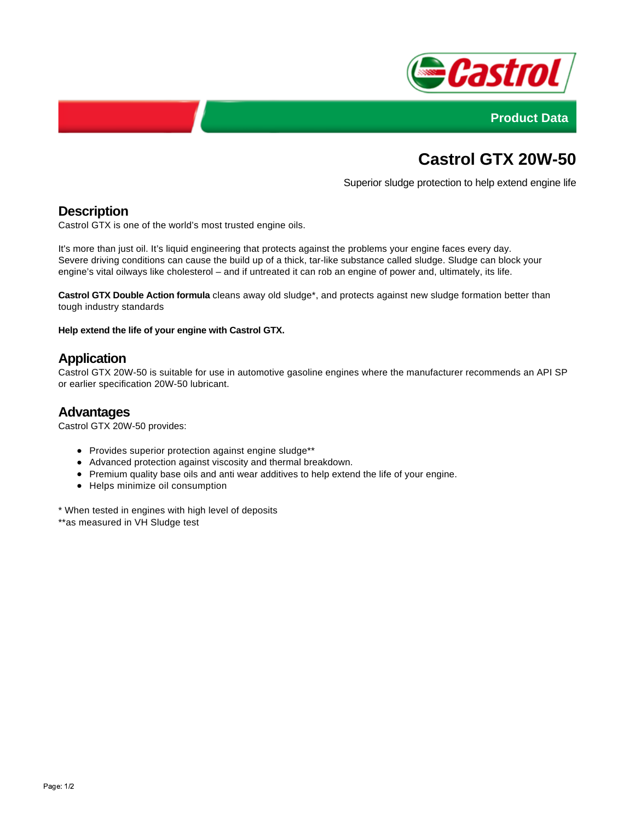



# **Castrol GTX 20W-50**

Superior sludge protection to help extend engine life

# **Description**

Castrol GTX is one of the world's most trusted engine oils.

It's more than just oil. It's liquid engineering that protects against the problems your engine faces every day. Severe driving conditions can cause the build up of a thick, tar-like substance called sludge. Sludge can block your engine's vital oilways like cholesterol – and if untreated it can rob an engine of power and, ultimately, its life.

**Castrol GTX Double Action formula** cleans away old sludge\*, and protects against new sludge formation better than tough industry standards

**Help extend the life of your engine with Castrol GTX.**

## **Application**

Castrol GTX 20W-50 is suitable for use in automotive gasoline engines where the manufacturer recommends an API SP or earlier specification 20W-50 lubricant.

#### **Advantages**

Castrol GTX 20W-50 provides:

- Provides superior protection against engine sludge\*\*
- Advanced protection against viscosity and thermal breakdown.
- Premium quality base oils and anti wear additives to help extend the life of your engine.
- Helps minimize oil consumption

\* When tested in engines with high level of deposits \*\*as measured in VH Sludge test